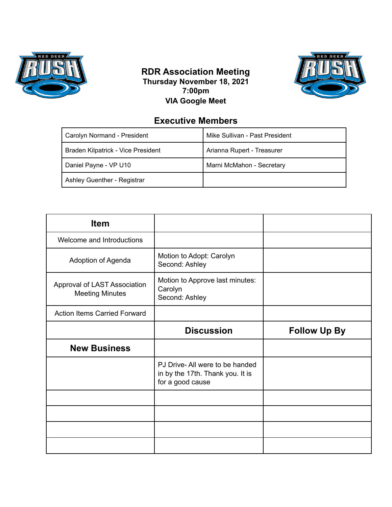

## **RDR Association Meeting Thursday November 18, 2021 7:00pm VIA Google Meet**



## **Executive Members**

| Carolyn Normand - President        | Mike Sullivan - Past President |
|------------------------------------|--------------------------------|
| Braden Kilpatrick - Vice President | Arianna Rupert - Treasurer     |
| Daniel Payne - VP U10              | Marni McMahon - Secretary      |
| Ashley Guenther - Registrar        |                                |

| <b>Item</b>                                            |                                                                                        |                     |
|--------------------------------------------------------|----------------------------------------------------------------------------------------|---------------------|
| Welcome and Introductions                              |                                                                                        |                     |
| Adoption of Agenda                                     | Motion to Adopt: Carolyn<br>Second: Ashley                                             |                     |
| Approval of LAST Association<br><b>Meeting Minutes</b> | Motion to Approve last minutes:<br>Carolyn<br>Second: Ashley                           |                     |
| <b>Action Items Carried Forward</b>                    |                                                                                        |                     |
|                                                        | <b>Discussion</b>                                                                      | <b>Follow Up By</b> |
|                                                        |                                                                                        |                     |
| <b>New Business</b>                                    |                                                                                        |                     |
|                                                        | PJ Drive-All were to be handed<br>in by the 17th. Thank you. It is<br>for a good cause |                     |
|                                                        |                                                                                        |                     |
|                                                        |                                                                                        |                     |
|                                                        |                                                                                        |                     |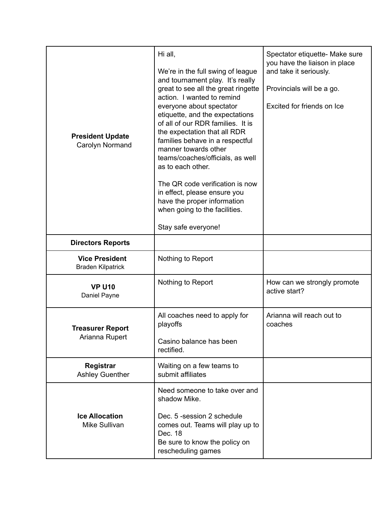| <b>President Update</b><br>Carolyn Normand        | Hi all,<br>We're in the full swing of league<br>and tournament play. It's really<br>great to see all the great ringette<br>action. I wanted to remind<br>everyone about spectator<br>etiquette, and the expectations<br>of all of our RDR families. It is<br>the expectation that all RDR<br>families behave in a respectful<br>manner towards other<br>teams/coaches/officials, as well<br>as to each other.<br>The QR code verification is now<br>in effect, please ensure you<br>have the proper information<br>when going to the facilities.<br>Stay safe everyone! | Spectator etiquette- Make sure<br>you have the liaison in place<br>and take it seriously.<br>Provincials will be a go.<br>Excited for friends on Ice |
|---------------------------------------------------|-------------------------------------------------------------------------------------------------------------------------------------------------------------------------------------------------------------------------------------------------------------------------------------------------------------------------------------------------------------------------------------------------------------------------------------------------------------------------------------------------------------------------------------------------------------------------|------------------------------------------------------------------------------------------------------------------------------------------------------|
| <b>Directors Reports</b>                          |                                                                                                                                                                                                                                                                                                                                                                                                                                                                                                                                                                         |                                                                                                                                                      |
| <b>Vice President</b><br><b>Braden Kilpatrick</b> | Nothing to Report                                                                                                                                                                                                                                                                                                                                                                                                                                                                                                                                                       |                                                                                                                                                      |
| <b>VP U10</b><br>Daniel Payne                     | Nothing to Report                                                                                                                                                                                                                                                                                                                                                                                                                                                                                                                                                       | How can we strongly promote<br>active start?                                                                                                         |
| <b>Treasurer Report</b><br>Arianna Rupert         | All coaches need to apply for<br>playoffs<br>Casino balance has been<br>rectified.                                                                                                                                                                                                                                                                                                                                                                                                                                                                                      | Arianna will reach out to<br>coaches                                                                                                                 |
| Registrar<br><b>Ashley Guenther</b>               | Waiting on a few teams to<br>submit affiliates                                                                                                                                                                                                                                                                                                                                                                                                                                                                                                                          |                                                                                                                                                      |
| <b>Ice Allocation</b><br>Mike Sullivan            | Need someone to take over and<br>shadow Mike.<br>Dec. 5 -session 2 schedule<br>comes out. Teams will play up to<br>Dec. 18<br>Be sure to know the policy on<br>rescheduling games                                                                                                                                                                                                                                                                                                                                                                                       |                                                                                                                                                      |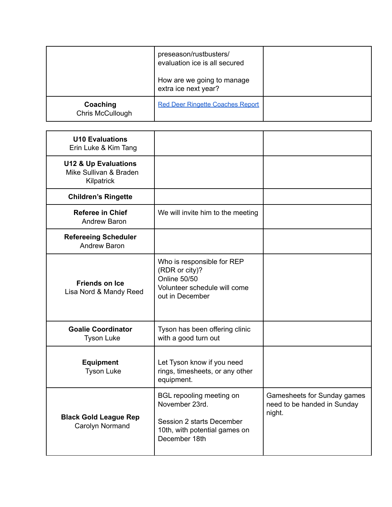|                              | preseason/rustbusters/<br>evaluation ice is all secured<br>How are we going to manage |  |
|------------------------------|---------------------------------------------------------------------------------------|--|
|                              | extra ice next year?                                                                  |  |
| Coaching<br>Chris McCullough | <b>Red Deer Ringette Coaches Report</b>                                               |  |

| <b>U10 Evaluations</b><br>Erin Luke & Kim Tang                          |                                                                                                                           |                                                                      |
|-------------------------------------------------------------------------|---------------------------------------------------------------------------------------------------------------------------|----------------------------------------------------------------------|
| <b>U12 &amp; Up Evaluations</b><br>Mike Sullivan & Braden<br>Kilpatrick |                                                                                                                           |                                                                      |
| <b>Children's Ringette</b>                                              |                                                                                                                           |                                                                      |
| <b>Referee in Chief</b><br>Andrew Baron                                 | We will invite him to the meeting                                                                                         |                                                                      |
| <b>Refereeing Scheduler</b><br><b>Andrew Baron</b>                      |                                                                                                                           |                                                                      |
| <b>Friends on Ice</b><br>Lisa Nord & Mandy Reed                         | Who is responsible for REP<br>(RDR or city)?<br><b>Online 50/50</b><br>Volunteer schedule will come<br>out in December    |                                                                      |
| <b>Goalie Coordinator</b><br><b>Tyson Luke</b>                          | Tyson has been offering clinic<br>with a good turn out                                                                    |                                                                      |
| <b>Equipment</b><br><b>Tyson Luke</b>                                   | Let Tyson know if you need<br>rings, timesheets, or any other<br>equipment.                                               |                                                                      |
| <b>Black Gold League Rep</b><br>Carolyn Normand                         | BGL repooling meeting on<br>November 23rd.<br>Session 2 starts December<br>10th, with potential games on<br>December 18th | Gamesheets for Sunday games<br>need to be handed in Sunday<br>night. |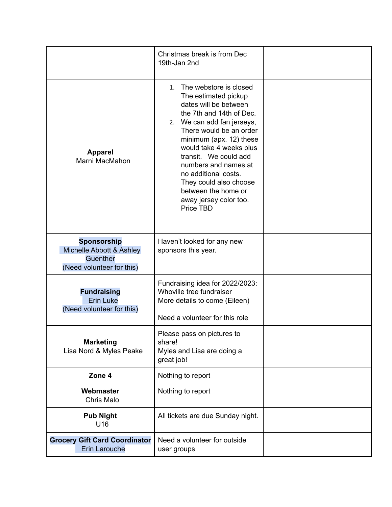|                                                                                         | Christmas break is from Dec<br>19th-Jan 2nd                                                                                                                                                                                                                                                                                                                                                    |  |
|-----------------------------------------------------------------------------------------|------------------------------------------------------------------------------------------------------------------------------------------------------------------------------------------------------------------------------------------------------------------------------------------------------------------------------------------------------------------------------------------------|--|
| <b>Apparel</b><br>Marni MacMahon                                                        | The webstore is closed<br>$1_{-}$<br>The estimated pickup<br>dates will be between<br>the 7th and 14th of Dec.<br>2. We can add fan jerseys,<br>There would be an order<br>minimum (apx. 12) these<br>would take 4 weeks plus<br>transit. We could add<br>numbers and names at<br>no additional costs.<br>They could also choose<br>between the home or<br>away jersey color too.<br>Price TBD |  |
| <b>Sponsorship</b><br>Michelle Abbott & Ashley<br>Guenther<br>(Need volunteer for this) | Haven't looked for any new<br>sponsors this year.                                                                                                                                                                                                                                                                                                                                              |  |
| <b>Fundraising</b><br><b>Erin Luke</b><br>(Need volunteer for this)                     | Fundraising idea for 2022/2023:<br>Whoville tree fundraiser<br>More details to come (Eileen)<br>Need a volunteer for this role                                                                                                                                                                                                                                                                 |  |
| <b>Marketing</b><br>Lisa Nord & Myles Peake                                             | Please pass on pictures to<br>share!<br>Myles and Lisa are doing a<br>great job!                                                                                                                                                                                                                                                                                                               |  |
| Zone 4                                                                                  | Nothing to report                                                                                                                                                                                                                                                                                                                                                                              |  |
| Webmaster<br>Chris Malo                                                                 | Nothing to report                                                                                                                                                                                                                                                                                                                                                                              |  |
| <b>Pub Night</b><br>U16                                                                 | All tickets are due Sunday night.                                                                                                                                                                                                                                                                                                                                                              |  |
| <b>Grocery Gift Card Coordinator</b><br><b>Erin Larouche</b>                            | Need a volunteer for outside<br>user groups                                                                                                                                                                                                                                                                                                                                                    |  |